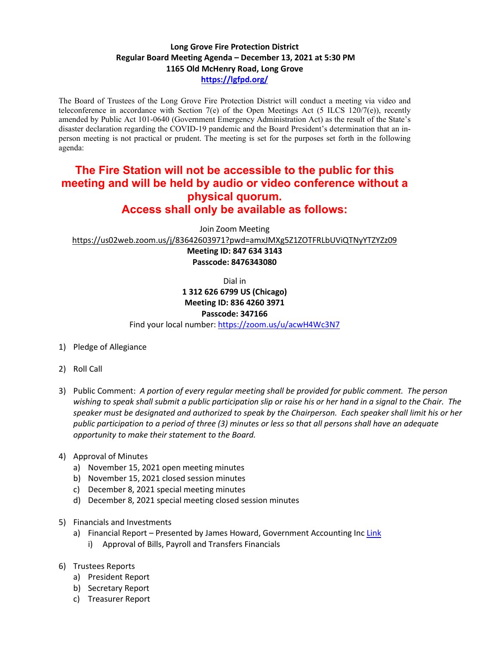## **Long Grove Fire Protection District Regular Board Meeting Agenda – December 13, 2021 at 5:30 PM 1165 Old McHenry Road, Long Grove <https://lgfpd.org/>**

The Board of Trustees of the Long Grove Fire Protection District will conduct a meeting via video and teleconference in accordance with Section 7(e) of the Open Meetings Act (5 ILCS 120/7(e)), recently amended by Public Act 101-0640 (Government Emergency Administration Act) as the result of the State's disaster declaration regarding the COVID-19 pandemic and the Board President's determination that an inperson meeting is not practical or prudent. The meeting is set for the purposes set forth in the following agenda:

## **The Fire Station will not be accessible to the public for this meeting and will be held by audio or video conference without a physical quorum. Access shall only be available as follows:**

Join Zoom Meeting

<https://us02web.zoom.us/j/83642603971?pwd=amxJMXg5Z1ZOTFRLbUViQTNyYTZYZz09>

**Meeting ID: 847 634 3143 Passcode: 8476343080**

Dial in

## **1 312 626 6799 US (Chicago) Meeting ID: 836 4260 3971**

**Passcode: 347166**

Find your local number[: https://zoom.us/u/acwH4Wc3N7](https://zoom.us/u/acwH4Wc3N7)

- 1) Pledge of Allegiance
- 2) Roll Call
- 3) Public Comment: *A portion of every regular meeting shall be provided for public comment. The person wishing to speak shall submit a public participation slip or raise his or her hand in a signal to the Chair. The speaker must be designated and authorized to speak by the Chairperson. Each speaker shall limit his or her public participation to a period of three (3) minutes or less so that all persons shall have an adequate opportunity to make their statement to the Board.*
- 4) Approval of Minutes
	- a) November 15, 2021 open meeting minutes
	- b) November 15, 2021 closed session minutes
	- c) December 8, 2021 special meeting minutes
	- d) December 8, 2021 special meeting closed session minutes
- 5) Financials and Investments
	- a) Financial Report Presented by James Howard, Government Accounting Inc [Link](https://itgophers.sharepoint.com/:b:/s/SharedDocs/EakIRHlNbkxKj_mvvKxttwIBHSbZV0FX1_0RK6g6nzNZ7w?e=VvUqtg)
		- i) Approval of Bills, Payroll and Transfers Financials
- 6) Trustees Reports
	- a) President Report
	- b) Secretary Report
	- c) Treasurer Report